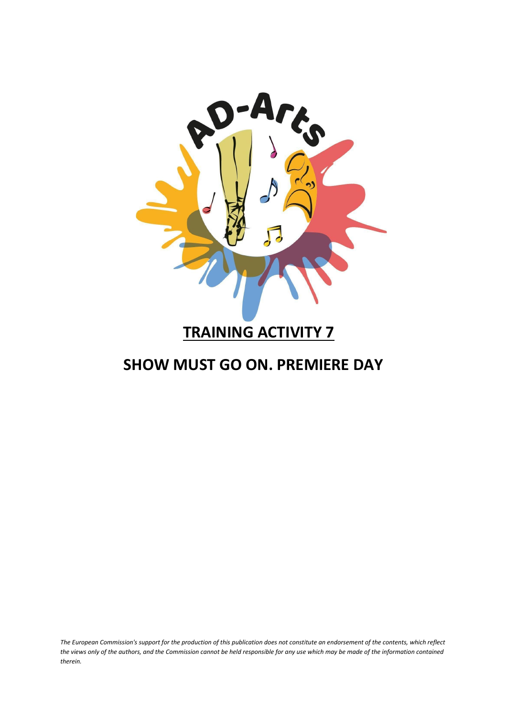

### **TRAINING ACTIVITY 7**

### **SHOW MUST GO ON. PREMIERE DAY**

*The European Commission's support for the production of this publication does not constitute an endorsement of the contents, which reflect the views only of the authors, and the Commission cannot be held responsible for any use which may be made of the information contained therein.*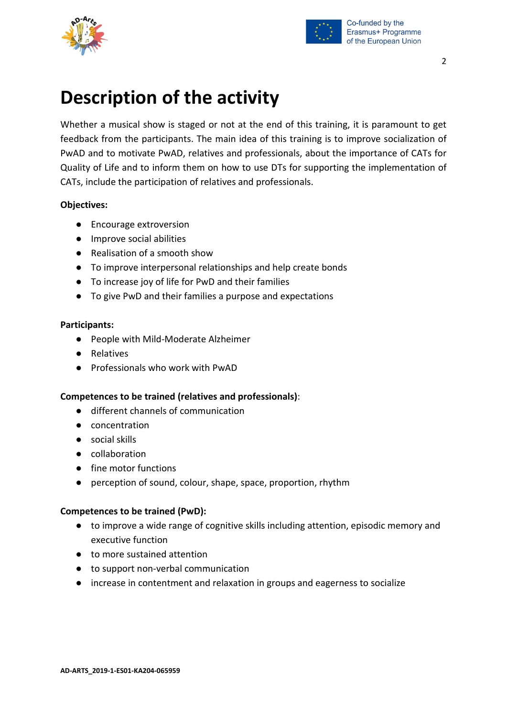



## **Description of the activity**

Whether a musical show is staged or not at the end of this training, it is paramount to get feedback from the participants. The main idea of this training is to improve socialization of PwAD and to motivate PwAD, relatives and professionals, about the importance of CATs for Quality of Life and to inform them on how to use DTs for supporting the implementation of CATs, include the participation of relatives and professionals.

#### **Objectives:**

- Encourage extroversion
- Improve social abilities
- Realisation of a smooth show
- To improve interpersonal relationships and help create bonds
- To increase joy of life for PwD and their families
- To give PwD and their families a purpose and expectations

#### **Participants:**

- People with Mild-Moderate Alzheimer
- Relatives
- Professionals who work with PwAD

#### **Competences to be trained (relatives and professionals)**:

- different channels of communication
- concentration
- social skills
- collaboration
- fine motor functions
- perception of sound, colour, shape, space, proportion, rhythm

#### **Competences to be trained (PwD):**

- to improve a wide range of cognitive skills including attention, episodic memory and executive function
- to more sustained attention
- to support non-verbal communication
- increase in contentment and relaxation in groups and eagerness to socialize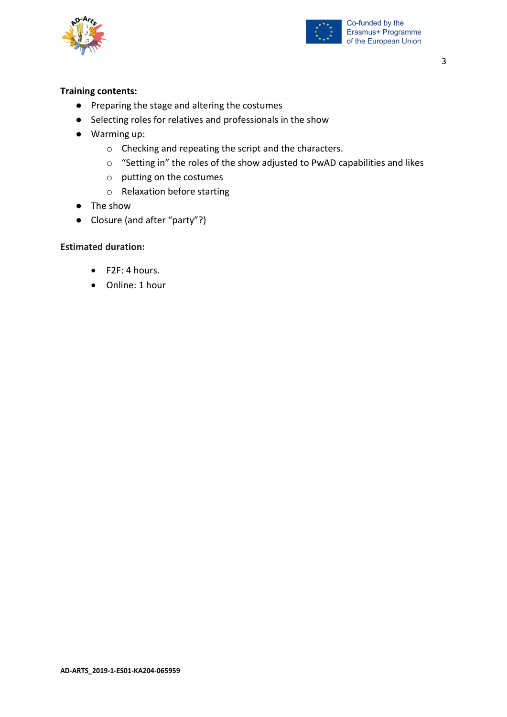



#### **Training contents:**

- Preparing the stage and altering the costumes
- Selecting roles for relatives and professionals in the show
- Warming up:
	- o Checking and repeating the script and the characters.
	- o "Setting in" the roles of the show adjusted to PwAD capabilities and likes
	- o putting on the costumes
	- o Relaxation before starting
- The show
- Closure (and after "party"?)

#### **Estimated duration:**

- F2F: 4 hours.
- Online: 1 hour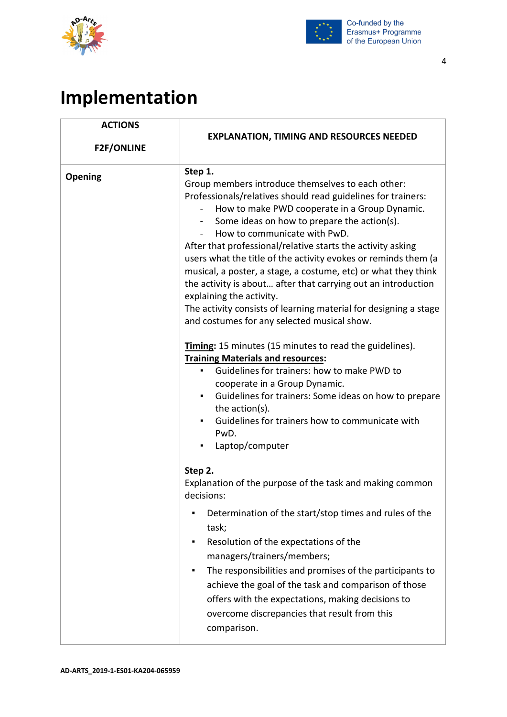



# **Implementation**

| <b>ACTIONS</b><br><b>F2F/ONLINE</b> | <b>EXPLANATION, TIMING AND RESOURCES NEEDED</b>                                                                                                                                                                                                                                                                                                                                                                                                                                                                                                                                                                                                                                                                                                                                                                                                                                                                                                                                                                                                                                   |
|-------------------------------------|-----------------------------------------------------------------------------------------------------------------------------------------------------------------------------------------------------------------------------------------------------------------------------------------------------------------------------------------------------------------------------------------------------------------------------------------------------------------------------------------------------------------------------------------------------------------------------------------------------------------------------------------------------------------------------------------------------------------------------------------------------------------------------------------------------------------------------------------------------------------------------------------------------------------------------------------------------------------------------------------------------------------------------------------------------------------------------------|
| <b>Opening</b>                      | Step 1.<br>Group members introduce themselves to each other:<br>Professionals/relatives should read guidelines for trainers:<br>How to make PWD cooperate in a Group Dynamic.<br>Some ideas on how to prepare the action(s).<br>$\sim$<br>How to communicate with PwD.<br>After that professional/relative starts the activity asking<br>users what the title of the activity evokes or reminds them (a<br>musical, a poster, a stage, a costume, etc) or what they think<br>the activity is about after that carrying out an introduction<br>explaining the activity.<br>The activity consists of learning material for designing a stage<br>and costumes for any selected musical show.<br><b>Timing:</b> 15 minutes (15 minutes to read the guidelines).<br><b>Training Materials and resources:</b><br>Guidelines for trainers: how to make PWD to<br>$\blacksquare$<br>cooperate in a Group Dynamic.<br>Guidelines for trainers: Some ideas on how to prepare<br>٠<br>the action(s).<br>Guidelines for trainers how to communicate with<br>٠<br>PwD.<br>Laptop/computer<br>٠ |
|                                     | Step 2.<br>Explanation of the purpose of the task and making common<br>decisions:<br>Determination of the start/stop times and rules of the<br>task;<br>Resolution of the expectations of the<br>managers/trainers/members;<br>The responsibilities and promises of the participants to<br>٠<br>achieve the goal of the task and comparison of those<br>offers with the expectations, making decisions to<br>overcome discrepancies that result from this<br>comparison.                                                                                                                                                                                                                                                                                                                                                                                                                                                                                                                                                                                                          |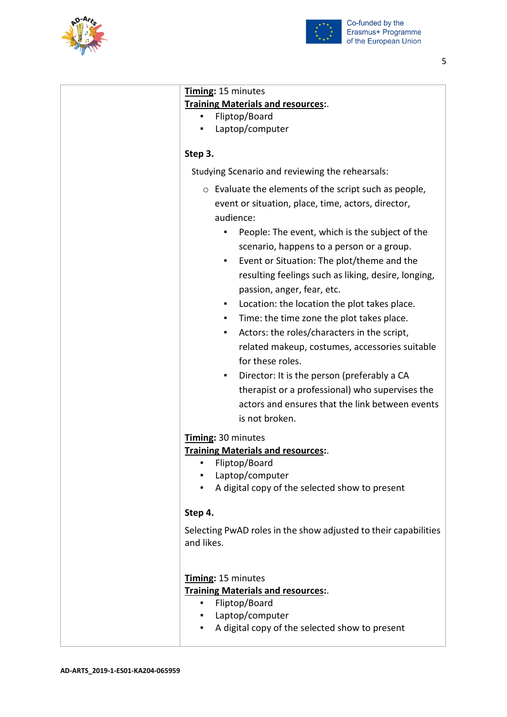



| Timing: 15 minutes                                                                                                                                                                                                                                                                                                                                                                                                                                                                                                                                                                                                                                                 |
|--------------------------------------------------------------------------------------------------------------------------------------------------------------------------------------------------------------------------------------------------------------------------------------------------------------------------------------------------------------------------------------------------------------------------------------------------------------------------------------------------------------------------------------------------------------------------------------------------------------------------------------------------------------------|
| Training Materials and resources:.                                                                                                                                                                                                                                                                                                                                                                                                                                                                                                                                                                                                                                 |
| Fliptop/Board                                                                                                                                                                                                                                                                                                                                                                                                                                                                                                                                                                                                                                                      |
| Laptop/computer                                                                                                                                                                                                                                                                                                                                                                                                                                                                                                                                                                                                                                                    |
| Step 3.                                                                                                                                                                                                                                                                                                                                                                                                                                                                                                                                                                                                                                                            |
| Studying Scenario and reviewing the rehearsals:                                                                                                                                                                                                                                                                                                                                                                                                                                                                                                                                                                                                                    |
| $\circ$ Evaluate the elements of the script such as people,<br>event or situation, place, time, actors, director,<br>audience:                                                                                                                                                                                                                                                                                                                                                                                                                                                                                                                                     |
| People: The event, which is the subject of the<br>$\blacksquare$<br>scenario, happens to a person or a group.<br>Event or Situation: The plot/theme and the<br>٠<br>resulting feelings such as liking, desire, longing,<br>passion, anger, fear, etc.<br>Location: the location the plot takes place.<br>٠<br>Time: the time zone the plot takes place.<br>٠<br>Actors: the roles/characters in the script,<br>٠<br>related makeup, costumes, accessories suitable<br>for these roles.<br>Director: It is the person (preferably a CA<br>٠<br>therapist or a professional) who supervises the<br>actors and ensures that the link between events<br>is not broken. |
| Timing: 30 minutes<br><b>Training Materials and resources:.</b><br>Fliptop/Board<br>٠<br>Laptop/computer<br>A digital copy of the selected show to present                                                                                                                                                                                                                                                                                                                                                                                                                                                                                                         |
| Step 4.                                                                                                                                                                                                                                                                                                                                                                                                                                                                                                                                                                                                                                                            |
| Selecting PwAD roles in the show adjusted to their capabilities<br>and likes.                                                                                                                                                                                                                                                                                                                                                                                                                                                                                                                                                                                      |
| Timing: 15 minutes<br><b>Training Materials and resources:.</b><br>Fliptop/Board<br>• Laptop/computer<br>A digital copy of the selected show to present<br>٠                                                                                                                                                                                                                                                                                                                                                                                                                                                                                                       |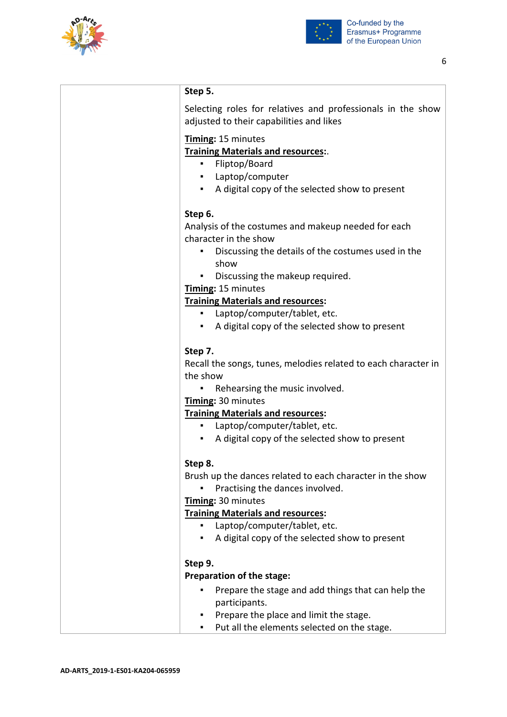



| Step 5.                                                                                                                                                                      |
|------------------------------------------------------------------------------------------------------------------------------------------------------------------------------|
| Selecting roles for relatives and professionals in the show<br>adjusted to their capabilities and likes                                                                      |
| Timing: 15 minutes<br><b>Training Materials and resources:.</b><br>Fliptop/Board<br>٠<br>Laptop/computer<br>A digital copy of the selected show to present<br>$\blacksquare$ |
| Step 6.<br>Analysis of the costumes and makeup needed for each<br>character in the show<br>Discussing the details of the costumes used in the<br>٠                           |
| show<br>Discussing the makeup required.<br>٠<br>Timing: 15 minutes                                                                                                           |
| <b>Training Materials and resources:</b><br>Laptop/computer/tablet, etc.<br>A digital copy of the selected show to present                                                   |
| Step 7.<br>Recall the songs, tunes, melodies related to each character in<br>the show                                                                                        |
| Rehearsing the music involved.<br>Timing: 30 minutes                                                                                                                         |
| <b>Training Materials and resources:</b><br>Laptop/computer/tablet, etc.<br>$\blacksquare$                                                                                   |
| A digital copy of the selected show to present                                                                                                                               |
| Step 8.<br>Brush up the dances related to each character in the show<br>Practising the dances involved.<br>Timing: 30 minutes                                                |
| <b>Training Materials and resources:</b><br>Laptop/computer/tablet, etc.<br>A digital copy of the selected show to present                                                   |
| Step 9.                                                                                                                                                                      |
| Preparation of the stage:                                                                                                                                                    |
| Prepare the stage and add things that can help the<br>participants.                                                                                                          |
| Prepare the place and limit the stage.<br>Put all the elements selected on the stage.<br>٠                                                                                   |
|                                                                                                                                                                              |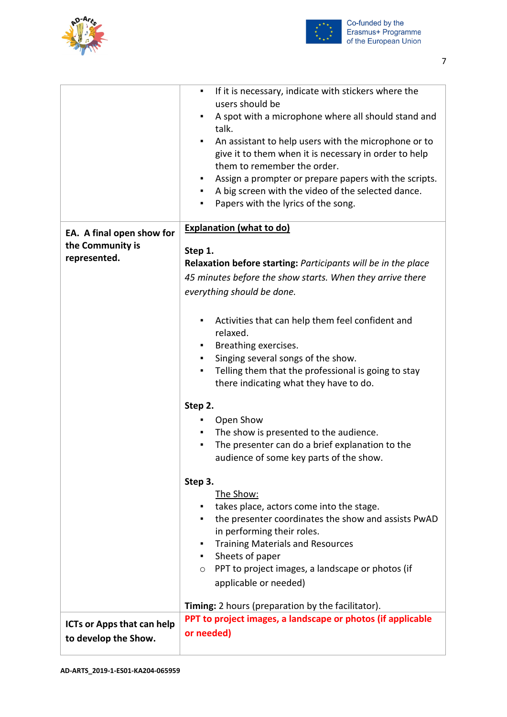



|                                                               | If it is necessary, indicate with stickers where the<br>٠<br>users should be<br>A spot with a microphone where all should stand and<br>٠<br>talk.<br>An assistant to help users with the microphone or to<br>give it to them when it is necessary in order to help<br>them to remember the order.<br>Assign a prompter or prepare papers with the scripts.<br>٠<br>A big screen with the video of the selected dance.<br>Papers with the lyrics of the song. |
|---------------------------------------------------------------|--------------------------------------------------------------------------------------------------------------------------------------------------------------------------------------------------------------------------------------------------------------------------------------------------------------------------------------------------------------------------------------------------------------------------------------------------------------|
| EA. A final open show for<br>the Community is<br>represented. | <b>Explanation (what to do)</b><br>Step 1.<br>Relaxation before starting: Participants will be in the place<br>45 minutes before the show starts. When they arrive there<br>everything should be done.                                                                                                                                                                                                                                                       |
|                                                               | Activities that can help them feel confident and<br>٠<br>relaxed.<br>Breathing exercises.<br>Singing several songs of the show.<br>п<br>Telling them that the professional is going to stay<br>٠<br>there indicating what they have to do.                                                                                                                                                                                                                   |
|                                                               | Step 2.<br>Open Show<br>The show is presented to the audience.<br>The presenter can do a brief explanation to the<br>п<br>audience of some key parts of the show.                                                                                                                                                                                                                                                                                            |
|                                                               | Step 3.<br>The Show:<br>takes place, actors come into the stage.<br>the presenter coordinates the show and assists PwAD<br>٠<br>in performing their roles.<br><b>Training Materials and Resources</b><br>Sheets of paper<br>$\blacksquare$<br>$\circ$ PPT to project images, a landscape or photos (if<br>applicable or needed)                                                                                                                              |
| <b>ICTs or Apps that can help</b><br>to develop the Show.     | Timing: 2 hours (preparation by the facilitator).<br>PPT to project images, a landscape or photos (if applicable<br>or needed)                                                                                                                                                                                                                                                                                                                               |